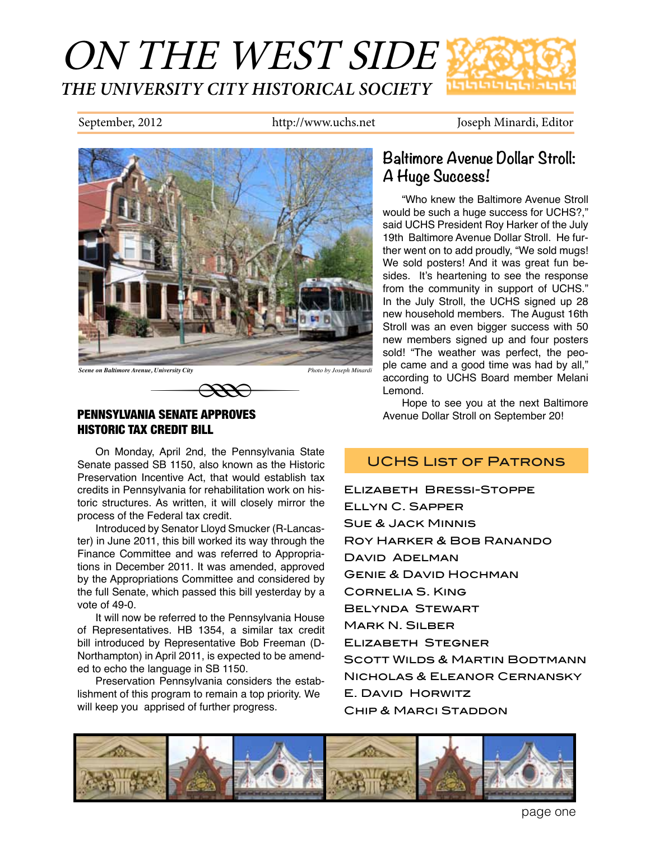

September, 2012 http://www.uchs.net Joseph Minardi, Editor



# PENNSYLVANIA SENATE APPROVES HISTORIC TAX CREDIT BILL e, University City<br> **EXECUTE: SENATE APPROVES**<br> **CREDIT BILL**

On Monday, April 2nd, the Pennsylvania State Senate passed SB 1150, also known as the Historic Preservation Incentive Act, that would establish tax credits in Pennsylvania for rehabilitation work on historic structures. As written, it will closely mirror the process of the Federal tax credit.

Introduced by Senator Lloyd Smucker (R-Lancaster) in June 2011, this bill worked its way through the Finance Committee and was referred to Appropriations in December 2011. It was amended, approved by the Appropriations Committee and considered by the full Senate, which passed this bill yesterday by a vote of 49-0.

It will now be referred to the Pennsylvania House of Representatives. HB 1354, a similar tax credit bill introduced by Representative Bob Freeman (D-Northampton) in April 2011, is expected to be amended to echo the language in SB 1150.

Preservation Pennsylvania considers the establishment of this program to remain a top priority. We will keep you apprised of further progress.

## **Baltimore Avenue Dollar Stroll: A Huge Success!**

"Who knew the Baltimore Avenue Stroll would be such a huge success for UCHS?," said UCHS President Roy Harker of the July 19th Baltimore Avenue Dollar Stroll. He further went on to add proudly, "We sold mugs! We sold posters! And it was great fun besides. It's heartening to see the response from the community in support of UCHS." In the July Stroll, the UCHS signed up 28 new household members. The August 16th Stroll was an even bigger success with 50 new members signed up and four posters sold! "The weather was perfect, the people came and a good time was had by all," according to UCHS Board member Melani Lemond.

Hope to see you at the next Baltimore Avenue Dollar Stroll on September 20!

## UCHS List of Patrons

Elizabeth Bressi-Stoppe Ellyn C. Sapper Sue & Jack Minnis Roy Harker & Bob Ranando David Adelman Genie & David Hochman Cornelia S. King Belynda Stewart Mark N. Silber Elizabeth Stegner Scott Wilds & Martin Bodtmann Nicholas & Eleanor Cernansky E. David Horwitz Chip & Marci Staddon



page one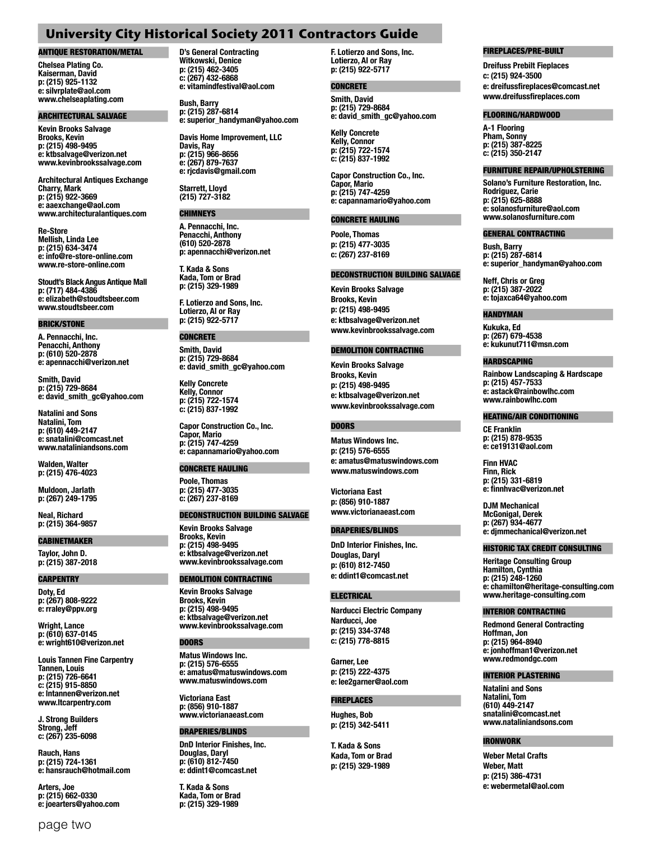### **University City Historical Society 2011 Contractors Guide**

#### ANTIQUE RESTORATION/METAL

**Chelsea Plating Co. Kaiserman, David p: (215) 925-1132 e: silvrplate@aol.com www.chelseaplating.com**

#### ARCHITECTURAL SALVAGE

**Kevin Brooks Salvage Brooks, Kevin p: (215) 498-9495 e: ktbsalvage@verizon.net www.kevinbrookssalvage.com**

**Architectural Antiques Exchange Charry, Mark p: (215) 922-3669 e: aaexchange@aol.com www.architecturalantiques.com**

**Re-Store Mellish, Linda Lee p: (215) 634-3474 e: info@re-store-online.com www.re-store-online.com**

**Stoudt's Black Angus Antique Mall p: (717) 484-4386 e: elizabeth@stoudtsbeer.com www.stoudtsbeer.com**

#### BRICK/STONE

**A. Pennacchi, Inc. Penacchi, Anthony p: (610) 520-2878 e: apennacchi@verizon.net**

**Smith, David p: (215) 729-8684 e: david\_smith\_gc@yahoo.com**

**Natalini and Sons Natalini, Tom p: (610) 449-2147 e: snatalini@comcast.net www.nataliniandsons.com**

**Walden, Walter p: (215) 476-4023**

**Muldoon, Jarlath p: (267) 249-1795**

**Neal, Richard p: (215) 364-9857**

#### CABINETMAKER

**Taylor, John D. p: (215) 387-2018**

#### **CARPENTRY**

**Doty, Ed p: (267) 808-9222 e: rraley@ppv.org**

**Wright, Lance p: (610) 637-0145 e: wright610@verizon.net**

**Louis Tannen Fine Carpentry Tannen, Louis p: (215) 726-6641 c: (215) 915-8850 e: lntannen@verizon.net www.ltcarpentry.com**

**J. Strong Builders Strong, Jeff c: (267) 235-6098**

**Rauch, Hans p: (215) 724-1361 e: hansrauch@hotmail.com**

**Arters, Joe p: (215) 662-0330 e: joearters@yahoo.com**

page two

**D's General Contracting Witkowski, Denice p: (215) 462-3405 c: (267) 432-6868 e: vitamindfestival@aol.com**

**Bush, Barry p: (215) 287-6814 e: superior\_handyman@yahoo.com**

**Davis Home Improvement, LLC Davis, Ray p: (215) 966-8656 e: (267) 879-7637 e: rjcdavis@gmail.com**

**Starrett, Lloyd (215) 727-3182**

#### CHIMNEYS

**A. Pennacchi, Inc. Penacchi, Anthony (610) 520-2878 p: apennacchi@verizon.net**

**T. Kada & Sons Kada, Tom or Brad p: (215) 329-1989**

**F. Lotierzo and Sons, Inc. Lotierzo, Al or Ray p: (215) 922-5717**

### **CONCRETE**

**Smith, David p: (215) 729-8684 e: david\_smith\_gc@yahoo.com**

**Kelly Concrete Kelly, Connor p: (215) 722-1574 c: (215) 837-1992**

**Capor Construction Co., Inc. Capor, Mario p: (215) 747-4259 e: capannamario@yahoo.com**

#### CONCRETE HAULING

**Poole, Thomas p: (215) 477-3035 c: (267) 237-8169**

#### DECONSTRUCTION BUILDING SALVAGE

**Kevin Brooks Salvage Brooks, Kevin p: (215) 498-9495 e: ktbsalvage@verizon.net www.kevinbrookssalvage.com**

#### DEMOLITION CONTRACTING

**Kevin Brooks Salvage Brooks, Kevin p: (215) 498-9495 e: ktbsalvage@verizon.net www.kevinbrookssalvage.com**

#### **DOORS**

**Matus Windows Inc. p: (215) 576-6555 e: amatus@matuswindows.com www.matuswindows.com**

**Victoriana East p: (856) 910-1887 www.victorianaeast.com**

#### DRAPERIES/BLINDS

**DnD Interior Finishes, Inc. Douglas, Daryl p: (610) 812-7450 e: ddint1@comcast.net**

**T. Kada & Sons Kada, Tom or Brad p: (215) 329-1989**

**F. Lotierzo and Sons, Inc. Lotierzo, Al or Ray p: (215) 922-5717**

#### **CONCRETE**

**Smith, David p: (215) 729-8684 e: david\_smith\_gc@yahoo.com**

**Kelly Concrete Kelly, Connor p: (215) 722-1574 c: (215) 837-1992**

**Capor Construction Co., Inc. Capor, Mario p: (215) 747-4259 e: capannamario@yahoo.com**

#### CONCRETE HAULING

**Poole, Thomas p: (215) 477-3035 c: (267) 237-8169** 

#### DECONSTRUCTION BUILDING SALVAGE

**Kevin Brooks Salvage Brooks, Kevin p: (215) 498-9495 e: ktbsalvage@verizon.net www.kevinbrookssalvage.com**

#### DEMOLITION CONTRACTING

**Kevin Brooks Salvage Brooks, Kevin p: (215) 498-9495 e: ktbsalvage@verizon.net www.kevinbrookssalvage.com**

#### DOORS

**Matus Windows Inc. p: (215) 576-6555 e: amatus@matuswindows.com www.matuswindows.com**

**Victoriana East p: (856) 910-1887 www.victorianaeast.com**

#### DRAPERIES/BLINDS

**DnD Interior Finishes, Inc. Douglas, Daryl p: (610) 812-7450 e: ddint1@comcast.net**

#### **ELECTRICAL**

**Narducci Electric Company Narducci, Joe p: (215) 334-3748 c: (215) 778-8815**

**Garner, Lee p: (215) 222-4375 e: lee2garner@aol.com**

## FIREPLACES

**Hughes, Bob p: (215) 342-5411**

**T. Kada & Sons Kada, Tom or Brad p: (215) 329-1989**

#### FIREPLACES/PRE-BUILT

**Dreifuss Prebilt Fieplaces c: (215) 924-3500 e: dreifussfireplaces@comcast.net www.dreifussfireplaces.com**

#### FLOORING/HARDWOOD

**A-1 Flooring Pham, Sonny p: (215) 387-8225 c: (215) 350-2147**

#### FURNITURE REPAIR/UPHOLSTERING

**Solano's Furniture Restoration, Inc. Rodriguez, Carie p: (215) 625-8888 e: solanosfurniture@aol.com www.solanosfurniture.com**

#### GENERAL CONTRACTING

**Bush, Barry p: (215) 287-6814 e: superior\_handyman@yahoo.com**

**Neff, Chris or Greg p: (215) 387-2022 e: tojaxca64@yahoo.com**

#### HANDYMAN

**Kukuka, Ed p: (267) 679-4538 e: kukunut711@msn.com**

#### HARDSCAPING

**Rainbow Landscaping & Hardscape p: (215) 457-7533 e: astack@rainbowlhc.com www.rainbowlhc.com**

#### HEATING/AIR CONDITIONING

**CE Franklin p: (215) 878-9535 e: ce19131@aol.com**

**Finn HVAC Finn, Rick p: (215) 331-6819 e: finnhvac@verizon.net**

**DJM Mechanical McGonigal, Derek p: (267) 934-4677 e: djmmechanical@verizon.net**

#### HISTORIC TAX CREDIT CONSULTING

**Heritage Consulting Group Hamilton, Cynthia p: (215) 248-1260 e: chamilton@heritage-consulting.com www.heritage-consulting.com**

#### INTERIOR CONTRACTING

**Redmond General Contracting Hoffman, Jon p: (215) 964-8940 e: jonhoffman1@verizon.net www.redmondgc.com**

#### INTERIOR PLASTERING

**Natalini and Sons Natalini, Tom (610) 449-2147 snatalini@comcast.net www.nataliniandsons.com**

#### IRONWORK

**Weber Metal Crafts Weber, Matt p: (215) 386-4731 e: webermetal@aol.com**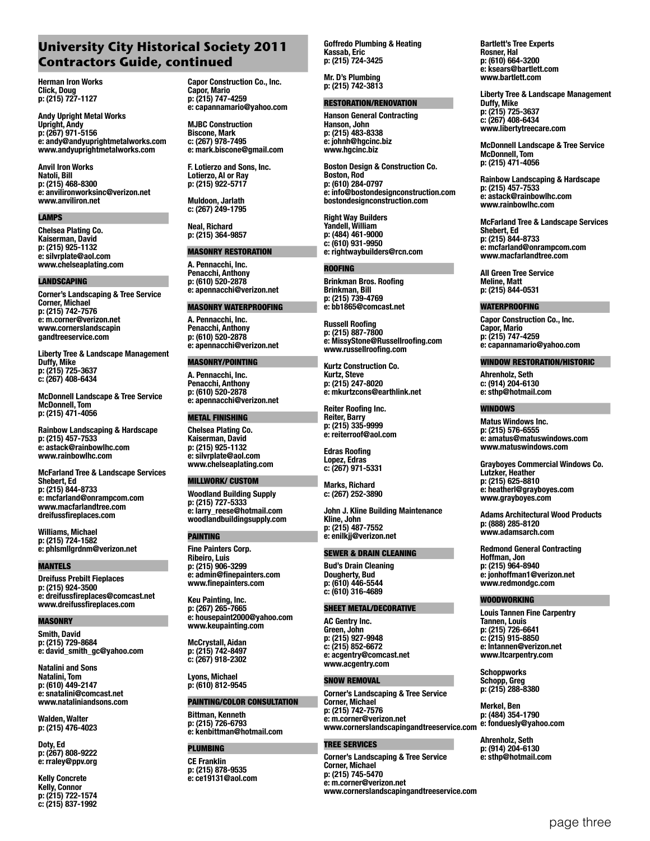## **University City Historical Society 2011 Contractors Guide, continued**

**Herman Iron Works Click, Doug p: (215) 727-1127**

**Andy Upright Metal Works Upright, Andy p: (267) 971-5156 e: andy@andyuprightmetalworks.com www.andyuprightmetalworks.com**

**Anvil Iron Works Natoli, Bill p: (215) 468-8300 e: anvilironworksinc@verizon.net www.anviliron.net**

#### LAMPS

**Chelsea Plating Co. Kaiserman, David p: (215) 925-1132 e: silvrplate@aol.com www.chelseaplating.com**

#### LANDSCAPING

**Corner's Landscaping & Tree Service Corner, Michael p: (215) 742-7576 e: m.corner@verizon.net www.cornerslandscapin gandtreeservice.com**

**Liberty Tree & Landscape Management Duffy, Mike p: (215) 725-3637 c: (267) 408-6434**

**McDonnell Landscape & Tree Service McDonnell, Tom p: (215) 471-4056**

**Rainbow Landscaping & Hardscape p: (215) 457-7533 e: astack@rainbowlhc.com www.rainbowlhc.com**

**McFarland Tree & Landscape Services Shebert, Ed p: (215) 844-8733 e: mcfarland@onrampcom.com www.macfarlandtree.com dreifussfireplaces.com**

**Williams, Michael p: (215) 724-1582 e: phlsmllgrdnm@verizon.net**

#### MANTELS

**Dreifuss Prebilt Fieplaces p: (215) 924-3500 e: dreifussfireplaces@comcast.net www.dreifussfireplaces.com**

#### **MASONRY**

**Smith, David p: (215) 729-8684 e: david\_smith\_gc@yahoo.com**

**Natalini and Sons Natalini, Tom p: (610) 449-2147 e: snatalini@comcast.net www.nataliniandsons.com**

**Walden, Walter p: (215) 476-4023**

**Doty, Ed p: (267) 808-9222 e: rraley@ppv.org**

**Kelly Concrete Kelly, Connor p: (215) 722-1574 c: (215) 837-1992** **Capor Construction Co., Inc. Capor, Mario p: (215) 747-4259 e: capannamario@yahoo.com**

**MJBC Construction Biscone, Mark c: (267) 978-7495 e: mark.biscone@gmail.com**

**F. Lotierzo and Sons, Inc. Lotierzo, Al or Ray p: (215) 922-5717**

**Muldoon, Jarlath c: (267) 249-1795**

**Neal, Richard p: (215) 364-9857**

#### MASONRY RESTORATION

**A. Pennacchi, Inc. Penacchi, Anthony p: (610) 520-2878 e: apennacchi@verizon.net**

#### MASONRY WATERPROOFING

**A. Pennacchi, Inc. Penacchi, Anthony p: (610) 520-2878 e: apennacchi@verizon.net**

#### MASONRY/POINTING

**A. Pennacchi, Inc. Penacchi, Anthony p: (610) 520-2878 e: apennacchi@verizon.net**

#### METAL FINISHING

**Chelsea Plating Co. Kaiserman, David** 

**p: (215) 925-1132** 

**e: silvrplate@aol.com www.chelseaplating.com**

#### MILLWORK/ CUSTOM

**Woodland Building Supply p: (215) 727-5333 e: larry\_reese@hotmail.com woodlandbuildingsupply.com** 

#### PAINTING

**Fine Painters Corp. Ribeiro, Luis p: (215) 906-3299 e: admin@finepainters.com www.finepainters.com**

**Keu Painting, Inc. p: (267) 265-7665 e: housepaint2000@yahoo.com www.keupainting.com**

**McCrystall, Aidan p: (215) 742-8497 c: (267) 918-2302**

**Lyons, Michael p: (610) 812-9545** 

#### PAINTING/COLOR CONSULTATION

**Bittman, Kenneth p: (215) 726-6793 e: kenbittman@hotmail.com** 

#### PLUMBING

**CE Franklin p: (215) 878-9535 e: ce19131@aol.com** **Goffredo Plumbing & Heating Kassab, Eric p: (215) 724-3425** 

**Mr. D's Plumbing p: (215) 742-3813**

#### RESTORATION/RENOVATION

**Hanson General Contracting Hanson, John p: (215) 483-8338 e: johnh@hgcinc.biz www.hgcinc.biz**

**Boston Design & Construction Co. Boston, Rod p: (610) 284-0797 e: info@bostondesignconstruction.com bostondesignconstruction.com**

**Right Way Builders Yandell, William p: (484) 461-9000 c: (610) 931-9950 e: rightwaybuilders@rcn.com**

#### ROOFING

**Brinkman Bros. Roofing Brinkman, Bill p: (215) 739-4769 e: bb1865@comcast.net**

**Russell Roofing p: (215) 887-7800 e: MissyStone@Russellroofing.com www.russellroofing.com**

**Kurtz Construction Co. Kurtz, Steve p: (215) 247-8020 e: mkurtzcons@earthlink.net**

**Reiter Roofing Inc. Reiter, Barry p: (215) 335-9999 e: reiterroof@aol.com**

**Edras Roofing Lopez, Edras c: (267) 971-5331**

**Marks, Richard c: (267) 252-3890**

**John J. Kline Building Maintenance Kline, John p: (215) 487-7552 e: enilkjj@verizon.net**

#### SEWER & DRAIN CLEANING

**Bud's Drain Cleaning Dougherty, Bud p: (610) 446-5544 c: (610) 316-4689** 

#### SHEET METAL/DECORATIVE

**AC Gentry Inc. Green, John p: (215) 927-9948 c: (215) 852-6672 e: acgentry@comcast.net www.acgentry.com**

#### SNOW REMOVAL

**Corner's Landscaping & Tree Service Corner, Michael p: (215) 742-7576 e: m.corner@verizon.net www.cornerslandscapingandtreeservice.com**

#### TREE SERVICES

**Corner's Landscaping & Tree Service Corner, Michael p: (215) 745-5470 e: m.corner@verizon.net www.cornerslandscapingandtreeservice.com**

**Bartlett's Tree Experts Rosner, Hal p: (610) 664-3200 e: ksears@bartlett.com www.bartlett.com**

**Liberty Tree & Landscape Management Duffy, Mike p: (215) 725-3637 c: (267) 408-6434 www.libertytreecare.com**

**McDonnell Landscape & Tree Service McDonnell, Tom p: (215) 471-4056**

**Rainbow Landscaping & Hardscape p: (215) 457-7533 e: astack@rainbowlhc.com www.rainbowlhc.com**

**McFarland Tree & Landscape Services Shebert, Ed p: (215) 844-8733 e: mcfarland@onrampcom.com www.macfarlandtree.com**

**All Green Tree Service Meline, Matt p: (215) 844-0531**

#### WATERPROOFING

**Capor Construction Co., Inc. Capor, Mario p: (215) 747-4259 e: capannamario@yahoo.com**

#### WINDOW RESTORATION/HISTORIC

**Ahrenholz, Seth c: (914) 204-6130 e: sthp@hotmail.com**

#### WINDOWS

**Matus Windows Inc. p: (215) 576-6555 e: amatus@matuswindows.com www.matuswindows.com**

**Grayboyes Commercial Windows Co. Lutzker, Heather p: (215) 625-8810 e: heatherl@grayboyes.com www.grayboyes.com**

**Adams Architectural Wood Products p: (888) 285-8120 www.adamsarch.com**

**Redmond General Contracting Hoffman, Jon p: (215) 964-8940 e: jonhoffman1@verizon.net www.redmondgc.com**

#### WOODWORKING

**Louis Tannen Fine Carpentry Tannen, Louis p: (215) 726-6641 c: (215) 915-8850 e: lntannen@verizon.net www.ltcarpentry.com**

**Schoppworks Schopp, Greg p: (215) 288-8380**

**Merkel, Ben p: (484) 354-1790 e: fonduesly@yahoo.com**

**Ahrenholz, Seth p: (914) 204-6130 e: sthp@hotmail.com**